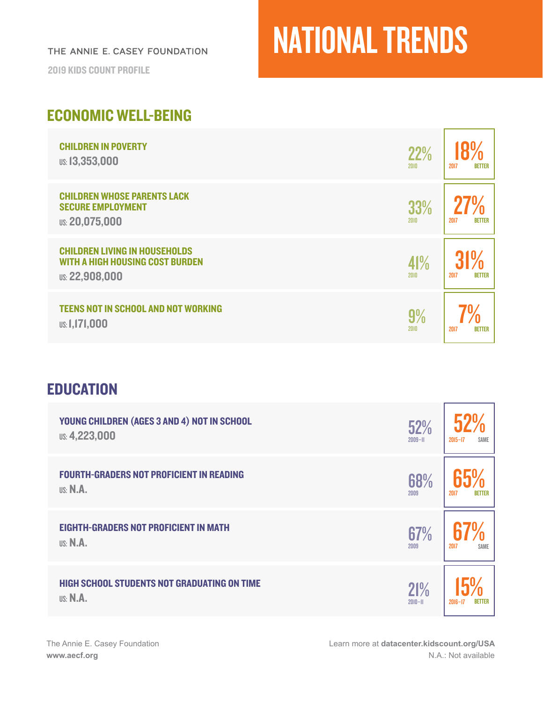THE ANNIE E. CASEY FOUNDATION

2019 KIDS COUNT PROFILE

## NATIONAL TRENDS

### ECONOMIC WELL-BEING

| <b>CHILDREN IN POVERTY</b>                                                                              | 22%         | 2017                  |
|---------------------------------------------------------------------------------------------------------|-------------|-----------------------|
| <b>US: 13,353,000</b>                                                                                   | 2010        | <b>BETTER</b>         |
| <b>CHILDREN WHOSE PARENTS LACK</b><br><b>SECURE EMPLOYMENT</b><br><b>US: 20,075,000</b>                 | 33%<br>2010 | 2017<br><b>BETTER</b> |
| <b>CHILDREN LIVING IN HOUSEHOLDS</b><br><b>WITH A HIGH HOUSING COST BURDEN</b><br><b>US: 22,908,000</b> | 41%<br>2010 | <b>BETTER</b><br>2017 |
| <b>TEENS NOT IN SCHOOL AND NOT WORKING</b>                                                              | 9%          | 2017                  |
| <b>us: 1,171,000</b>                                                                                    | 2010        | <b>BETTER</b>         |

#### **EDUCATION**

| YOUNG CHILDREN (AGES 3 AND 4) NOT IN SCHOOL        | 52%         | $2015 - 17$   |
|----------------------------------------------------|-------------|---------------|
| <b>US: 4,223,000</b>                               | $2009 - H$  | SAME          |
| <b>FOURTH-GRADERS NOT PROFICIENT IN READING</b>    | 68%         | 2017          |
| US: M.A.                                           | 2009        | <b>BETTER</b> |
| <b>EIGHTH-GRADERS NOT PROFICIENT IN MATH</b>       | 67%         | 2017          |
| US: N.A.                                           | 2009        | SAME          |
| <b>HIGH SCHOOL STUDENTS NOT GRADUATING ON TIME</b> | 21%         | $2016 - 17$   |
| <b>US: N.A.</b>                                    | $2010 - 11$ | <b>BETTER</b> |

Learn more at **[datacenter.kidscount.org/USA](https://datacenter.kidscount.org/data#USA/1/0/char/0)** N.A.: Not available

'n